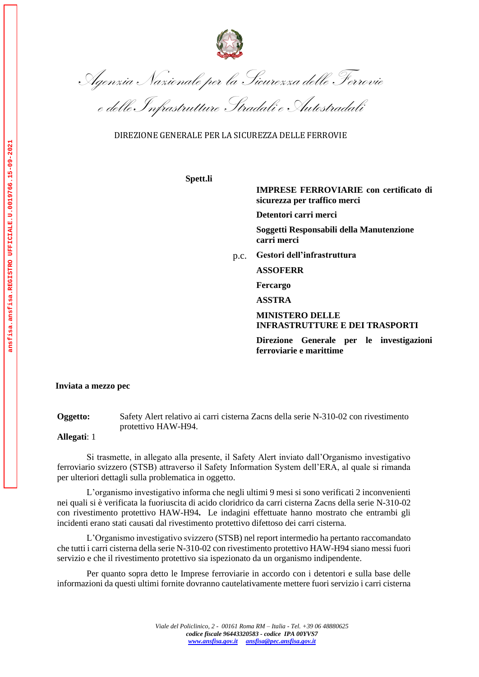

Agenzia Nazionale per la Sicurezza delle Ferrovie

e delle Infrastrutture Stradali e Autostradali

DIREZIONE GENERALE PER LA SICUREZZA DELLE FERROVIE

**Spett.li**

**IMPRESE FERROVIARIE con certificato di sicurezza per traffico merci**

**Detentori carri merci**

**Soggetti Responsabili della Manutenzione carri merci**

p.c. **Gestori dell'infrastruttura**

**ASSOFERR** 

**Fercargo**

**ASSTRA**

**MINISTERO DELLE INFRASTRUTTURE E DEI TRASPORTI**

**Direzione Generale per le investigazioni ferroviarie e marittime**

**Inviata a mezzo pec**

**Oggetto:** Safety Alert relativo ai carri cisterna Zacns della serie N-310-02 con rivestimento protettivo HAW-H94.

**Allegati**: 1

Si trasmette, in allegato alla presente, il Safety Alert inviato dall'Organismo investigativo ferroviario svizzero (STSB) attraverso il Safety Information System dell'ERA, al quale si rimanda per ulteriori dettagli sulla problematica in oggetto.

L'organismo investigativo informa che negli ultimi 9 mesi si sono verificati 2 inconvenienti nei quali si è verificata la fuoriuscita di acido cloridrico da carri cisterna Zacns della serie N-310-02 con rivestimento protettivo HAW-H94**.** Le indagini effettuate hanno mostrato che entrambi gli incidenti erano stati causati dal rivestimento protettivo difettoso dei carri cisterna.

L'Organismo investigativo svizzero (STSB) nel report intermedio ha pertanto raccomandato che tutti i carri cisterna della serie N-310-02 con rivestimento protettivo HAW-H94 siano messi fuori servizio e che il rivestimento protettivo sia ispezionato da un organismo indipendente.

Per quanto sopra detto le Imprese ferroviarie in accordo con i detentori e sulla base delle informazioni da questi ultimi fornite dovranno cautelativamente mettere fuori servizio i carri cisterna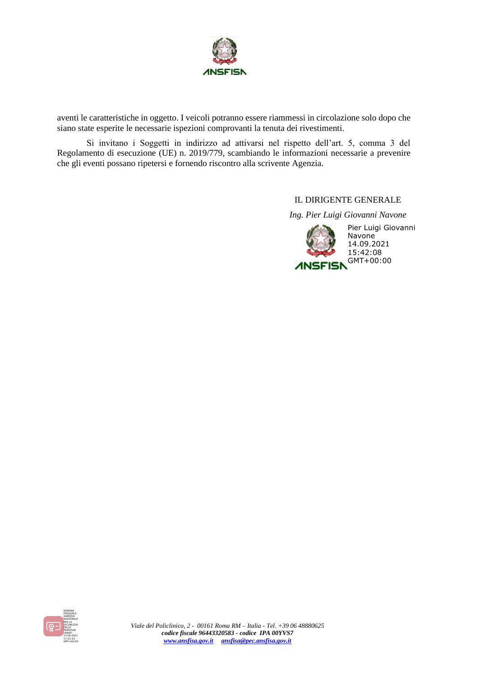

aventi le caratteristiche in oggetto. I veicoli potranno essere riammessi in circolazione solo dopo che siano state esperite le necessarie ispezioni comprovanti la tenuta dei rivestimenti.

Si invitano i Soggetti in indirizzo ad attivarsi nel rispetto dell'art. 5, comma 3 del Regolamento di esecuzione (UE) n. 2019/779, scambiando le informazioni necessarie a prevenire che gli eventi possano ripetersi e fornendo riscontro alla scrivente Agenzia.

IL DIRIGENTE GENERALE

*Ing. Pier Luigi Giovanni Navone*